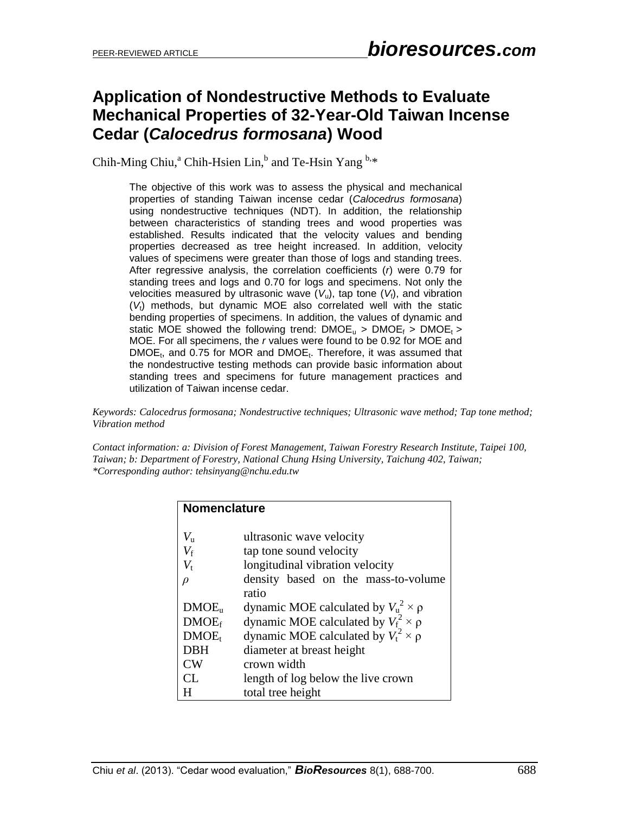# **Application of Nondestructive Methods to Evaluate Mechanical Properties of 32-Year-Old Taiwan Incense Cedar (***Calocedrus formosana***) Wood**

Chih-Ming Chiu,<sup>a</sup> Chih-Hsien Lin,<sup>b</sup> and Te-Hsin Yang <sup>b,\*</sup>

The objective of this work was to assess the physical and mechanical properties of standing Taiwan incense cedar (*Calocedrus formosana*) using nondestructive techniques (NDT). In addition, the relationship between characteristics of standing trees and wood properties was established. Results indicated that the velocity values and bending properties decreased as tree height increased. In addition, velocity values of specimens were greater than those of logs and standing trees. After regressive analysis, the correlation coefficients (*r*) were 0.79 for standing trees and logs and 0.70 for logs and specimens. Not only the velocities measured by ultrasonic wave  $(V_u)$ , tap tone  $(V_f)$ , and vibration (*V*t) methods, but dynamic MOE also correlated well with the static bending properties of specimens. In addition, the values of dynamic and static MOE showed the following trend:  $DMOE<sub>u</sub>$  >  $DMOE<sub>f</sub>$  >  $DMOE<sub>f</sub>$  > MOE. For all specimens, the *r* values were found to be 0.92 for MOE and DMOE<sub>t</sub>, and 0.75 for MOR and DMOE<sub>t</sub>. Therefore, it was assumed that the nondestructive testing methods can provide basic information about standing trees and specimens for future management practices and utilization of Taiwan incense cedar.

*Keywords: Calocedrus formosana; Nondestructive techniques; Ultrasonic wave method; Tap tone method; Vibration method*

*Contact information: a: Division of Forest Management, Taiwan Forestry Research Institute, Taipei 100, Taiwan; b: Department of Forestry, National Chung Hsing University, Taichung 402, Taiwan; \*Corresponding author: tehsinyang@nchu.edu.tw*

| <b>Nomenclature</b> |                                               |  |  |  |  |  |  |
|---------------------|-----------------------------------------------|--|--|--|--|--|--|
|                     |                                               |  |  |  |  |  |  |
| $V_{\rm u}$         | ultrasonic wave velocity                      |  |  |  |  |  |  |
| $V_{\rm f}$         | tap tone sound velocity                       |  |  |  |  |  |  |
| $V_{\rm t}$         | longitudinal vibration velocity               |  |  |  |  |  |  |
| $\rho$              | density based on the mass-to-volume           |  |  |  |  |  |  |
|                     | ratio                                         |  |  |  |  |  |  |
| DMOE <sub>u</sub>   | dynamic MOE calculated by $V_u^2 \times \rho$ |  |  |  |  |  |  |
| DMOE <sub>f</sub>   | dynamic MOE calculated by $V_f^2 \times \rho$ |  |  |  |  |  |  |
| DMOE <sub>t</sub>   | dynamic MOE calculated by $V_t^2 \times \rho$ |  |  |  |  |  |  |
| <b>DBH</b>          | diameter at breast height                     |  |  |  |  |  |  |
| CW <sub></sub>      | crown width                                   |  |  |  |  |  |  |
| CL                  | length of log below the live crown            |  |  |  |  |  |  |
| H                   | total tree height                             |  |  |  |  |  |  |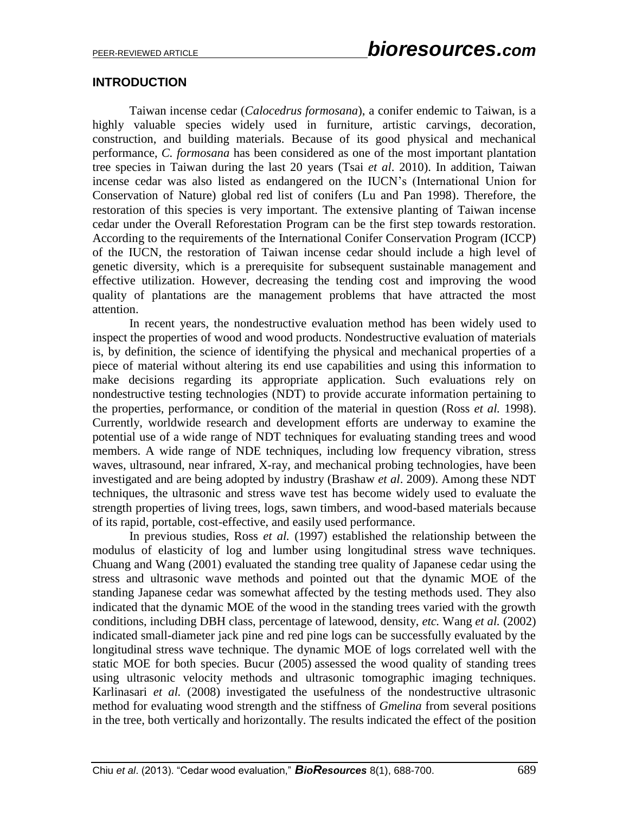### **INTRODUCTION**

Taiwan incense cedar (*Calocedrus formosana*), a conifer endemic to Taiwan, is a highly valuable species widely used in furniture, artistic carvings, decoration, construction, and building materials. Because of its good physical and mechanical performance, *C. formosana* has been considered as one of the most important plantation tree species in Taiwan during the last 20 years (Tsai *et al*. 2010). In addition, Taiwan incense cedar was also listed as endangered on the IUCN's (International Union for Conservation of Nature) global red list of conifers (Lu and Pan 1998). Therefore, the restoration of this species is very important. The extensive planting of Taiwan incense cedar under the Overall Reforestation Program can be the first step towards restoration. According to the requirements of the International Conifer Conservation Program (ICCP) of the IUCN, the restoration of Taiwan incense cedar should include a high level of genetic diversity, which is a prerequisite for subsequent sustainable management and effective utilization. However, decreasing the tending cost and improving the wood quality of plantations are the management problems that have attracted the most attention.

In recent years, the nondestructive evaluation method has been widely used to inspect the properties of wood and wood products. Nondestructive evaluation of materials is, by definition, the science of identifying the physical and mechanical properties of a piece of material without altering its end use capabilities and using this information to make decisions regarding its appropriate application. Such evaluations rely on nondestructive testing technologies (NDT) to provide accurate information pertaining to the properties, performance, or condition of the material in question (Ross *et al.* 1998). Currently, worldwide research and development efforts are underway to examine the potential use of a wide range of NDT techniques for evaluating standing trees and wood members. A wide range of NDE techniques, including low frequency vibration, stress waves, ultrasound, near infrared, X-ray, and mechanical probing technologies, have been investigated and are being adopted by industry (Brashaw *et al*. 2009). Among these NDT techniques, the ultrasonic and stress wave test has become widely used to evaluate the strength properties of living trees, logs, sawn timbers, and wood-based materials because of its rapid, portable, cost-effective, and easily used performance.

In previous studies, Ross *et al.* (1997) established the relationship between the modulus of elasticity of log and lumber using longitudinal stress wave techniques. Chuang and Wang (2001) evaluated the standing tree quality of Japanese cedar using the stress and ultrasonic wave methods and pointed out that the dynamic MOE of the standing Japanese cedar was somewhat affected by the testing methods used. They also indicated that the dynamic MOE of the wood in the standing trees varied with the growth conditions, including DBH class, percentage of latewood, density, *etc.* Wang *et al.* (2002) indicated small-diameter jack pine and red pine logs can be successfully evaluated by the longitudinal stress wave technique. The dynamic MOE of logs correlated well with the static MOE for both species. Bucur (2005) assessed the wood quality of standing trees using ultrasonic velocity methods and ultrasonic tomographic imaging techniques. Karlinasari *et al.* (2008) investigated the usefulness of the nondestructive ultrasonic method for evaluating wood strength and the stiffness of *Gmelina* from several positions in the tree, both vertically and horizontally. The results indicated the effect of the position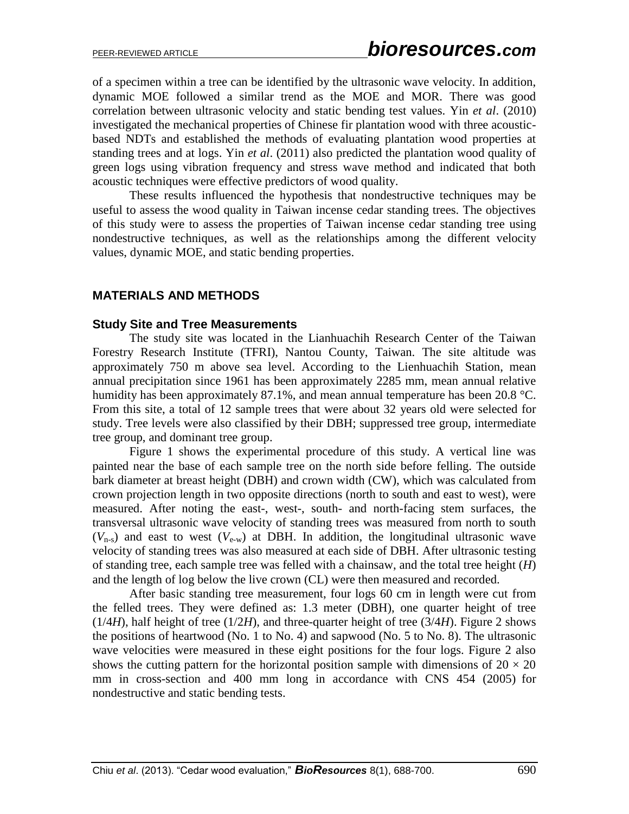of a specimen within a tree can be identified by the ultrasonic wave velocity. In addition, dynamic MOE followed a similar trend as the MOE and MOR. There was good correlation between ultrasonic velocity and static bending test values. Yin *et al*. (2010) investigated the mechanical properties of Chinese fir plantation wood with three acousticbased NDTs and established the methods of evaluating plantation wood properties at standing trees and at logs. Yin *et al*. (2011) also predicted the plantation wood quality of green logs using vibration frequency and stress wave method and indicated that both acoustic techniques were effective predictors of wood quality.

These results influenced the hypothesis that nondestructive techniques may be useful to assess the wood quality in Taiwan incense cedar standing trees. The objectives of this study were to assess the properties of Taiwan incense cedar standing tree using nondestructive techniques, as well as the relationships among the different velocity values, dynamic MOE, and static bending properties.

### **MATERIALS AND METHODS**

#### **Study Site and Tree Measurements**

The study site was located in the Lianhuachih Research Center of the Taiwan Forestry Research Institute (TFRI), Nantou County, Taiwan. The site altitude was approximately 750 m above sea level. According to the Lienhuachih Station, mean annual precipitation since 1961 has been approximately 2285 mm, mean annual relative humidity has been approximately 87.1%, and mean annual temperature has been 20.8 °C. From this site, a total of 12 sample trees that were about 32 years old were selected for study. Tree levels were also classified by their DBH; suppressed tree group, intermediate tree group, and dominant tree group.

Figure 1 shows the experimental procedure of this study. A vertical line was painted near the base of each sample tree on the north side before felling. The outside bark diameter at breast height (DBH) and crown width (CW), which was calculated from crown projection length in two opposite directions (north to south and east to west), were measured. After noting the east-, west-, south- and north-facing stem surfaces, the transversal ultrasonic wave velocity of standing trees was measured from north to south  $(V_{n-s})$  and east to west  $(V_{e-w})$  at DBH. In addition, the longitudinal ultrasonic wave velocity of standing trees was also measured at each side of DBH. After ultrasonic testing of standing tree, each sample tree was felled with a chainsaw, and the total tree height (*H*) and the length of log below the live crown (CL) were then measured and recorded.

After basic standing tree measurement, four logs 60 cm in length were cut from the felled trees. They were defined as: 1.3 meter (DBH), one quarter height of tree  $(1/4H)$ , half height of tree  $(1/2H)$ , and three-quarter height of tree  $(3/4H)$ . Figure 2 shows the positions of heartwood (No. 1 to No. 4) and sapwood (No. 5 to No. 8). The ultrasonic wave velocities were measured in these eight positions for the four logs. Figure 2 also shows the cutting pattern for the horizontal position sample with dimensions of  $20 \times 20$ mm in cross-section and 400 mm long in accordance with CNS 454 (2005) for nondestructive and static bending tests.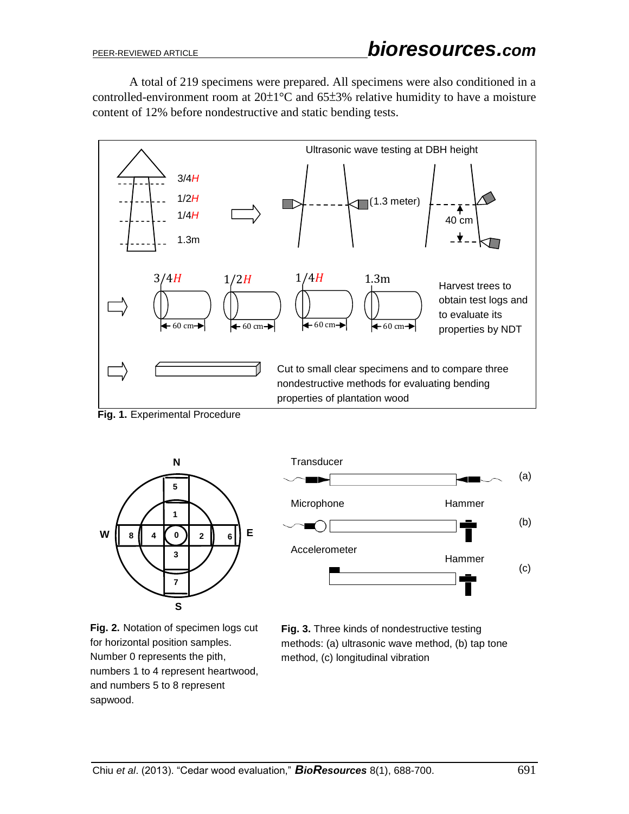A total of 219 specimens were prepared. All specimens were also conditioned in a controlled-environment room at  $20\pm1\degree C$  and  $65\pm3\%$  relative humidity to have a moisture content of 12% before nondestructive and static bending tests.



**Fig. 1.** Experimental Procedure





**Fig. 2.** Notation of specimen logs cut for horizontal position samples. Number 0 represents the pith, numbers 1 to 4 represent heartwood, and numbers 5 to 8 represent sapwood.

**Fig. 3.** Three kinds of nondestructive testing methods: (a) ultrasonic wave method, (b) tap tone method, (c) longitudinal vibration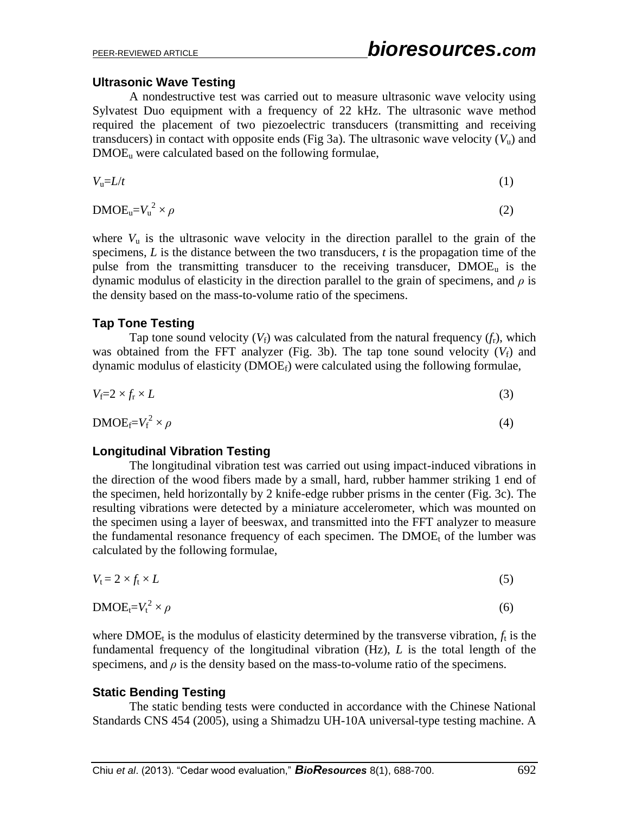### **Ultrasonic Wave Testing**

A nondestructive test was carried out to measure ultrasonic wave velocity using Sylvatest Duo equipment with a frequency of 22 kHz. The ultrasonic wave method required the placement of two piezoelectric transducers (transmitting and receiving transducers) in contact with opposite ends (Fig 3a). The ultrasonic wave velocity  $(V<sub>u</sub>)$  and  $DMOE<sub>u</sub>$  were calculated based on the following formulae,

$$
V_{\mathbf{u}} = L/t \tag{1}
$$

$$
\text{DMOE}_{\text{u}} = V_{\text{u}}^2 \times \rho \tag{2}
$$

where  $V_{\rm u}$  is the ultrasonic wave velocity in the direction parallel to the grain of the specimens, *L* is the distance between the two transducers, *t* is the propagation time of the pulse from the transmitting transducer to the receiving transducer,  $DMOE<sub>u</sub>$  is the dynamic modulus of elasticity in the direction parallel to the grain of specimens, and *ρ* is the density based on the mass-to-volume ratio of the specimens.

#### **Tap Tone Testing**

Tap tone sound velocity  $(V_f)$  was calculated from the natural frequency  $(f_r)$ , which was obtained from the FFT analyzer (Fig. 3b). The tap tone sound velocity  $(V_f)$  and dynamic modulus of elasticity  $(DMOE_f)$  were calculated using the following formulae,

$$
V_f = 2 \times f_r \times L \tag{3}
$$

$$
\text{DMOE}_{\text{f}} = V_{\text{f}}^2 \times \rho \tag{4}
$$

### **Longitudinal Vibration Testing**

The longitudinal vibration test was carried out using impact-induced vibrations in the direction of the wood fibers made by a small, hard, rubber hammer striking 1 end of the specimen, held horizontally by 2 knife-edge rubber prisms in the center (Fig. 3c). The resulting vibrations were detected by a miniature accelerometer, which was mounted on the specimen using a layer of beeswax, and transmitted into the FFT analyzer to measure the fundamental resonance frequency of each specimen. The  $DMOE<sub>t</sub>$  of the lumber was calculated by the following formulae,

$$
V_t = 2 \times f_t \times L \tag{5}
$$

$$
DMOE_t = V_t^2 \times \rho \tag{6}
$$

where  $DMOE_t$  is the modulus of elasticity determined by the transverse vibration,  $f_t$  is the fundamental frequency of the longitudinal vibration (Hz), *L* is the total length of the specimens, and  $\rho$  is the density based on the mass-to-volume ratio of the specimens.

### **Static Bending Testing**

The static bending tests were conducted in accordance with the Chinese National Standards CNS 454 (2005), using a Shimadzu UH-10A universal-type testing machine. A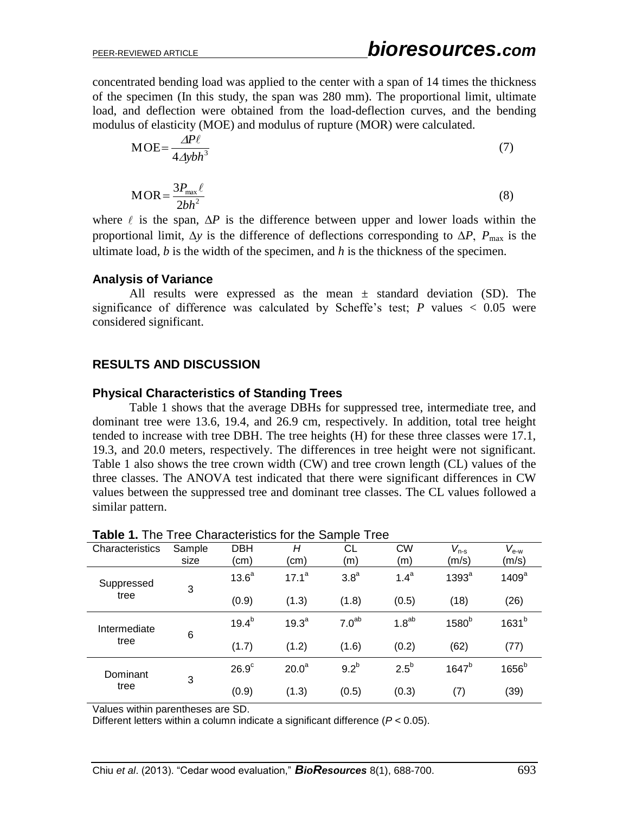concentrated bending load was applied to the center with a span of 14 times the thickness of the specimen (In this study, the span was 280 mm). The proportional limit, ultimate load, and deflection were obtained from the load-deflection curves, and the bending modulus of elasticity (MOE) and modulus of rupture (MOR) were calculated.

$$
MOE = \frac{\Delta P \ell}{4 \Delta y b h^3} \tag{7}
$$

$$
MOR = \frac{3P_{\text{max}}\ell}{2bh^2}
$$
 (8)

where  $\ell$  is the span,  $\Delta P$  is the difference between upper and lower loads within the proportional limit,  $\Delta y$  is the difference of deflections corresponding to  $\Delta P$ ,  $P_{\text{max}}$  is the ultimate load, *b* is the width of the specimen, and *h* is the thickness of the specimen.

### **Analysis of Variance**

All results were expressed as the mean  $\pm$  standard deviation (SD). The significance of difference was calculated by Scheffe's test;  $P$  values  $\lt$  0.05 were considered significant.

### **RESULTS AND DISCUSSION**

### **Physical Characteristics of Standing Trees**

Table 1 shows that the average DBHs for suppressed tree, intermediate tree, and dominant tree were 13.6, 19.4, and 26.9 cm, respectively. In addition, total tree height tended to increase with tree DBH. The tree heights (H) for these three classes were 17.1, 19.3, and 20.0 meters, respectively. The differences in tree height were not significant. Table 1 also shows the tree crown width (CW) and tree crown length (CL) values of the three classes. The ANOVA test indicated that there were significant differences in CW values between the suppressed tree and dominant tree classes. The CL values followed a similar pattern.

| Characteristics      | Sample<br>size | <b>DBH</b><br>(cm) | Н<br>(cm)         | СL<br>(m)         | <b>CW</b><br>(m)  | $V_{n-s}$<br>(m/s) | $V_{\text{e-w}}$<br>(m/s) |
|----------------------|----------------|--------------------|-------------------|-------------------|-------------------|--------------------|---------------------------|
| Suppressed<br>tree   | 3              | 13.6 <sup>a</sup>  | $17.1^a$          | 3.8 <sup>a</sup>  | 1.4 <sup>a</sup>  | 1393 <sup>a</sup>  | 1409 <sup>a</sup>         |
|                      |                | (0.9)              | (1.3)             | (1.8)             | (0.5)             | (18)               | (26)                      |
| Intermediate<br>tree | 6              | $19.4^{b}$         | 19.3 <sup>a</sup> | 7.0 <sup>ab</sup> | 1.8 <sup>ab</sup> | 1580 <sup>b</sup>  | 1631 <sup>b</sup>         |
|                      |                | (1.7)              | (1.2)             | (1.6)             | (0.2)             | (62)               | (77)                      |
| Dominant<br>tree     | 3              | $26.9^\circ$       | 20.0 <sup>a</sup> | 9.2 <sup>b</sup>  | $2.5^{\circ}$     | $1647^b$           | 1656 <sup>b</sup>         |
|                      |                | (0.9)              | (1.3)             | (0.5)             | (0.3)             | (7)                | (39)                      |

### **Table 1.** The Tree Characteristics for the Sample Tree

Values within parentheses are SD.

Different letters within a column indicate a significant difference (*P* < 0.05).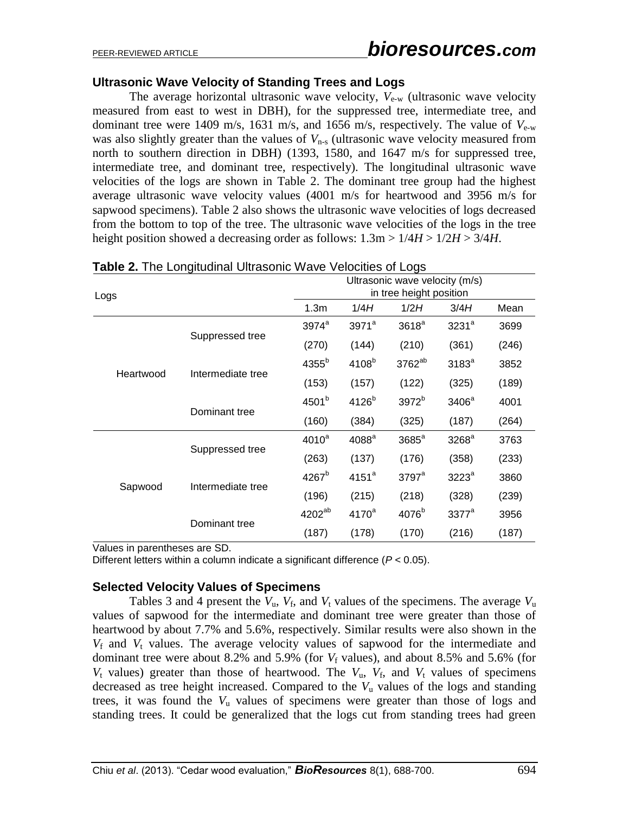### **Ultrasonic Wave Velocity of Standing Trees and Logs**

The average horizontal ultrasonic wave velocity,  $V_{\text{e-w}}$  (ultrasonic wave velocity measured from east to west in DBH), for the suppressed tree, intermediate tree, and dominant tree were 1409 m/s, 1631 m/s, and 1656 m/s, respectively. The value of  $V_{e-w}$ was also slightly greater than the values of  $V_{n-s}$  (ultrasonic wave velocity measured from north to southern direction in DBH) (1393, 1580, and 1647 m/s for suppressed tree, intermediate tree, and dominant tree, respectively). The longitudinal ultrasonic wave velocities of the logs are shown in Table 2. The dominant tree group had the highest average ultrasonic wave velocity values (4001 m/s for heartwood and 3956 m/s for sapwood specimens). Table 2 also shows the ultrasonic wave velocities of logs decreased from the bottom to top of the tree. The ultrasonic wave velocities of the logs in the tree height position showed a decreasing order as follows: 1.3m > 1/4*H* > 1/2*H* > 3/4*H*.

| Logs      |                   |                    | Ultrasonic wave velocity (m/s)<br>in tree height position |                     |                   |       |  |  |  |  |
|-----------|-------------------|--------------------|-----------------------------------------------------------|---------------------|-------------------|-------|--|--|--|--|
|           |                   | 1.3m               | 1/4H                                                      | 1/2H                | 3/4H              | Mean  |  |  |  |  |
|           |                   | $3974^a$           | 3971 <sup>a</sup>                                         | 3618 <sup>a</sup>   | 3231 <sup>a</sup> | 3699  |  |  |  |  |
| Heartwood | Suppressed tree   | (270)              | (144)                                                     | (210)               | (361)             | (246) |  |  |  |  |
|           |                   | 4355 <sup>b</sup>  | 4108 <sup>b</sup>                                         | 3762 <sup>ab</sup>  | 3183 <sup>a</sup> | 3852  |  |  |  |  |
|           | Intermediate tree | (153)              | (157)                                                     | (122)               | (325)             | (189) |  |  |  |  |
|           |                   | 4501 <sup>b</sup>  | 4126 <sup>b</sup>                                         | 3972 <sup>b</sup>   | 3406 <sup>a</sup> | 4001  |  |  |  |  |
|           | Dominant tree     | (160)              | (384)                                                     | (325)               | (187)             | (264) |  |  |  |  |
|           |                   | $4010^a$           | 4088 <sup>a</sup>                                         | 3685 <sup>a</sup>   | 3268 <sup>a</sup> | 3763  |  |  |  |  |
|           | Suppressed tree   | (263)              | (137)                                                     | (176)               | (358)             | (233) |  |  |  |  |
|           | Intermediate tree | 4267 <sup>b</sup>  | $4151^a$                                                  | $3797$ <sup>a</sup> | $3223^a$          | 3860  |  |  |  |  |
| Sapwood   |                   | (196)              | (215)                                                     | (218)               | (328)             | (239) |  |  |  |  |
|           | Dominant tree     | 4202 <sup>ab</sup> | $4170^a$                                                  | 4076 <sup>b</sup>   | $3377^a$          | 3956  |  |  |  |  |
|           |                   | (187)              | (178)                                                     | (170)               | (216)             | (187) |  |  |  |  |

**Table 2.** The Longitudinal Ultrasonic Wave Velocities of Logs

Values in parentheses are SD.

Different letters within a column indicate a significant difference (*P* < 0.05).

### **Selected Velocity Values of Specimens**

Tables 3 and 4 present the  $V_u$ ,  $V_f$ , and  $V_t$  values of the specimens. The average  $V_u$ values of sapwood for the intermediate and dominant tree were greater than those of heartwood by about 7.7% and 5.6%, respectively. Similar results were also shown in the  $V_f$  and  $V_t$  values. The average velocity values of sapwood for the intermediate and dominant tree were about 8.2% and 5.9% (for  $V_f$  values), and about 8.5% and 5.6% (for  $V_t$  values) greater than those of heartwood. The  $V_u$ ,  $V_f$ , and  $V_t$  values of specimens decreased as tree height increased. Compared to the *V*<sup>u</sup> values of the logs and standing trees, it was found the  $V<sub>u</sub>$  values of specimens were greater than those of logs and standing trees. It could be generalized that the logs cut from standing trees had green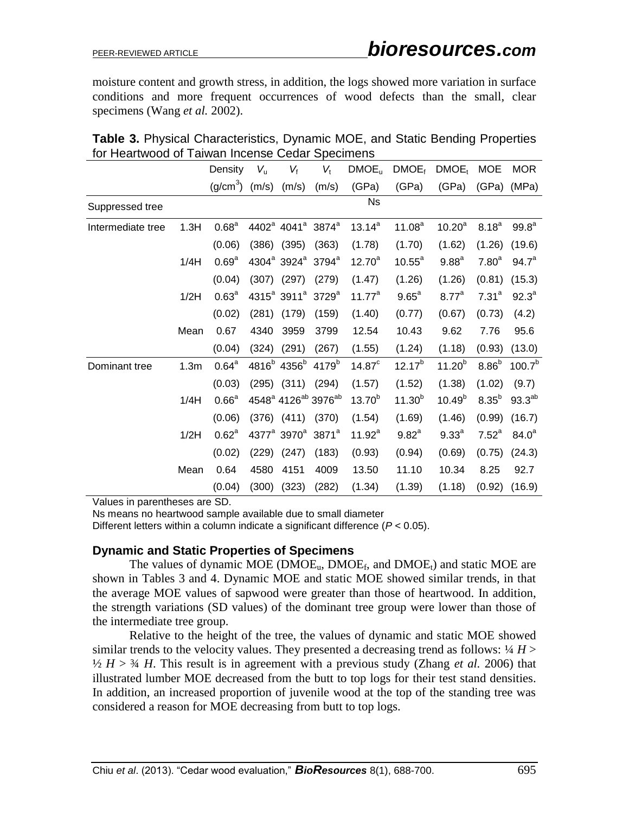moisture content and growth stress, in addition, the logs showed more variation in surface conditions and more frequent occurrences of wood defects than the small, clear specimens (Wang *et al.* 2002).

|                   |                  | Density           | $V_{\rm u}$ | $V_{\text{f}}$                                        | $V_{t}$                                                 | DMOE <sub>u</sub> | DMOE <sub>f</sub>  | DMOE <sub>t</sub> | <b>MOE</b>        | <b>MOR</b>         |
|-------------------|------------------|-------------------|-------------|-------------------------------------------------------|---------------------------------------------------------|-------------------|--------------------|-------------------|-------------------|--------------------|
|                   |                  | $(g/cm3)$ (m/s)   |             | (m/s)                                                 | (m/s)                                                   | (GPa)             | (GPa)              | (GPa)             | (GPa)             | (MPa)              |
| Suppressed tree   |                  |                   |             |                                                       |                                                         | <b>Ns</b>         |                    |                   |                   |                    |
| Intermediate tree | 1.3H             | 0.68 <sup>a</sup> |             | 4402 <sup>a</sup> 4041 <sup>a</sup> 3874 <sup>a</sup> |                                                         | $13.14^{a}$       | 11.08 <sup>a</sup> | $10.20^a$         | $8.18^{a}$        | 99.8 <sup>a</sup>  |
|                   |                  | (0.06)            | (386)       | (395)                                                 | (363)                                                   | (1.78)            | (1.70)             | (1.62)            | (1.26)            | (19.6)             |
|                   | 1/4H             | 0.69 <sup>a</sup> |             | $4304^a$ 3924 <sup>a</sup>                            | $3794^a$                                                | $12.70^a$         | $10.55^{\circ}$    | 9.88 <sup>a</sup> | 7.80 <sup>a</sup> | 94.7 <sup>a</sup>  |
|                   |                  | (0.04)            | (307)       | (297)                                                 | (279)                                                   | (1.47)            | (1.26)             | (1.26)            | (0.81)            | (15.3)             |
|                   | 1/2H             | 0.63 <sup>a</sup> |             | 4315 <sup>ª</sup> 3911 <sup>ª</sup> 3729 <sup>ª</sup> |                                                         | $11.77^a$         | $9.65^a$           | $8.77^a$          | 7.31 <sup>a</sup> | $92.3^a$           |
|                   |                  | (0.02)            | (281)       | (179)                                                 | (159)                                                   | (1.40)            | (0.77)             | (0.67)            | (0.73)            | (4.2)              |
|                   | Mean             | 0.67              | 4340        | 3959                                                  | 3799                                                    | 12.54             | 10.43              | 9.62              | 7.76              | 95.6               |
|                   |                  | (0.04)            | (324)       | (291)                                                 | (267)                                                   | (1.55)            | (1.24)             | (1.18)            | (0.93)            | (13.0)             |
| Dominant tree     | 1.3 <sub>m</sub> | $0.64^a$          |             | 4816 <sup>b</sup> 4356 <sup>b</sup>                   | $4179^{b}$                                              | $14.87^c$         | $12.17^{b}$        | $11.20^{b}$       | 8.86 <sup>b</sup> | 100.7 <sup>b</sup> |
|                   |                  | (0.03)            |             | $(295)$ $(311)$                                       | (294)                                                   | (1.57)            | (1.52)             | (1.38)            | (1.02)            | (9.7)              |
|                   | 1/4H             | 0.66 <sup>a</sup> |             |                                                       | 4548 <sup>ª</sup> 4126 <sup>ab</sup> 3976 <sup>ab</sup> | $13.70^{b}$       | $11.30^{b}$        | $10.49^{b}$       | 8.35 <sup>b</sup> | $93.3^{ab}$        |
|                   |                  | (0.06)            |             | $(376)$ $(411)$                                       | (370)                                                   | (1.54)            | (1.69)             | (1.46)            | (0.99)            | (16.7)             |
|                   | 1/2H             | 0.62 <sup>a</sup> |             | 4377 <sup>a</sup> 3970 <sup>a</sup> 3871 <sup>a</sup> |                                                         | $11.92^a$         | $9.82^{a}$         | $9.33^{a}$        | 7.52 <sup>a</sup> | $84.0^a$           |
|                   |                  | (0.02)            | (229)       | (247)                                                 | (183)                                                   | (0.93)            | (0.94)             | (0.69)            | (0.75)            | (24.3)             |
|                   | Mean             | 0.64              | 4580        | 4151                                                  | 4009                                                    | 13.50             | 11.10              | 10.34             | 8.25              | 92.7               |
|                   |                  | (0.04)            | (300)       | (323)                                                 | (282)                                                   | (1.34)            | (1.39)             | (1.18)            | (0.92)            | (16.9)             |

| <b>Table 3. Physical Characteristics, Dynamic MOE, and Static Bending Properties</b> |  |  |  |  |
|--------------------------------------------------------------------------------------|--|--|--|--|
| for Heartwood of Taiwan Incense Cedar Specimens                                      |  |  |  |  |

Values in parentheses are SD.

Ns means no heartwood sample available due to small diameter

Different letters within a column indicate a significant difference (*P* < 0.05).

#### **Dynamic and Static Properties of Specimens**

The values of dynamic MOE ( $\text{DMOE}_{u}$ ,  $\text{DMOE}_{f}$ , and  $\text{DMOE}_{t}$ ) and static MOE are shown in Tables 3 and 4. Dynamic MOE and static MOE showed similar trends, in that the average MOE values of sapwood were greater than those of heartwood. In addition, the strength variations (SD values) of the dominant tree group were lower than those of the intermediate tree group.

Relative to the height of the tree, the values of dynamic and static MOE showed similar trends to the velocity values. They presented a decreasing trend as follows:  $\frac{1}{4}H$  >  $\frac{1}{2}$  *H* >  $\frac{3}{4}$  *H*. This result is in agreement with a previous study (Zhang *et al.* 2006) that illustrated lumber MOE decreased from the butt to top logs for their test stand densities. In addition, an increased proportion of juvenile wood at the top of the standing tree was considered a reason for MOE decreasing from butt to top logs.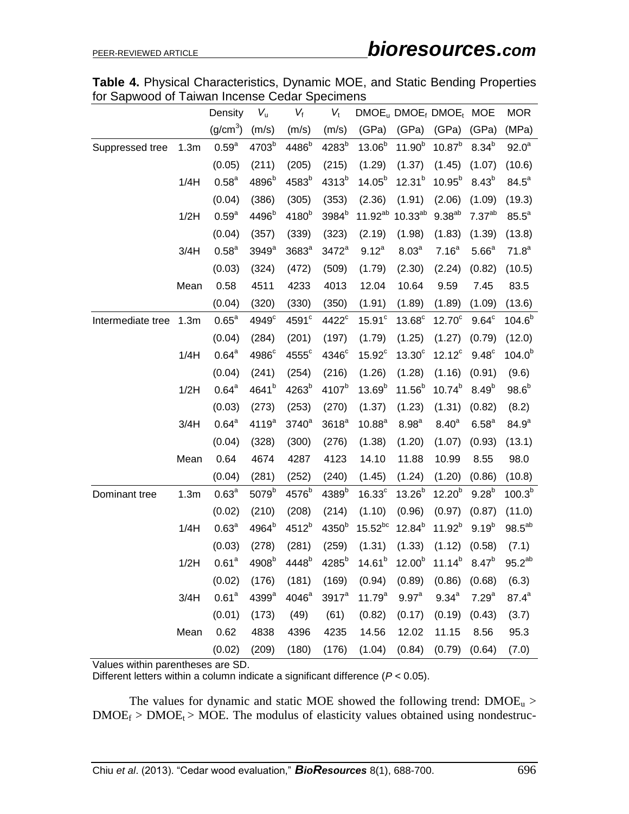| <b>Table 4.</b> Physical Characteristics, Dynamic MOE, and Static Bending Properties |  |  |
|--------------------------------------------------------------------------------------|--|--|
| for Sapwood of Taiwan Incense Cedar Specimens                                        |  |  |

|                   |      | Density              | $V_{\rm u}$       | $V_f$             | $V_{t}$            |                    |                     | $DMOEu DMOEf DMOEt MOE$ |                    | <b>MOR</b>     |
|-------------------|------|----------------------|-------------------|-------------------|--------------------|--------------------|---------------------|-------------------------|--------------------|----------------|
|                   |      | (g/cm <sup>3</sup> ) | (m/s)             | (m/s)             | (m/s)              | (GPa)              | (GPa)               | (GPa)                   | (GPa)              | (MPa)          |
| Suppressed tree   | 1.3m | $0.59^{a}$           | 4703 <sup>b</sup> | 4486 <sup>b</sup> | 4283 <sup>b</sup>  | $13.06^{b}$        | $11.90^{b}$         | $10.87^{b}$             | $8.34^{b}$         | $92.0^a$       |
|                   |      | (0.05)               | (211)             | (205)             | (215)              | (1.29)             | (1.37)              | (1.45)                  | (1.07)             | (10.6)         |
|                   | 1/4H | 0.58 <sup>a</sup>    | 4896 <sup>b</sup> | 4583 <sup>b</sup> | 4313 <sup>b</sup>  | $14.05^{b}$        | $12.31^{b}$         | $10.95^{b}$             | $8.43^{b}$         | $84.5^{\circ}$ |
|                   |      | (0.04)               | (386)             | (305)             | (353)              | (2.36)             | (1.91)              | (2.06)                  | (1.09)             | (19.3)         |
|                   | 1/2H | 0.59 <sup>a</sup>    | 4496 <sup>b</sup> | 4180 <sup>b</sup> | 3984 <sup>b</sup>  | $11.92^{ab}$       | $10.33^{ab}$        | $9.38^{ab}$             | 7.37 <sup>ab</sup> | $85.5^a$       |
|                   |      | (0.04)               | (357)             | (339)             | (323)              | (2.19)             | (1.98)              | (1.83)                  | (1.39)             | (13.8)         |
|                   | 3/4H | $0.58^{a}$           | 3949 <sup>a</sup> | 3683ª             | 3472 <sup>a</sup>  | $9.12^{a}$         | $8.03^{a}$          | 7.16 <sup>a</sup>       | 5.66 <sup>a</sup>  | $71.8^a$       |
|                   |      | (0.03)               | (324)             | (472)             | (509)              | (1.79)             | (2.30)              | (2.24)                  | (0.82)             | (10.5)         |
|                   | Mean | 0.58                 | 4511              | 4233              | 4013               | 12.04              | 10.64               | 9.59                    | 7.45               | 83.5           |
|                   |      | (0.04)               | (320)             | (330)             | (350)              | (1.91)             | (1.89)              | (1.89)                  | (1.09)             | (13.6)         |
| Intermediate tree | 1.3m | $0.65^a$             | 4949 <sup>c</sup> | 4591 <sup>c</sup> | $4422^{\circ}$     | 15.91 <sup>c</sup> | $13.68^\circ$       | $12.70^{\circ}$         | $9.64^{\circ}$     | $104.6^{b}$    |
|                   |      | (0.04)               | (284)             | (201)             | (197)              | (1.79)             | (1.25)              | (1.27)                  | (0.79)             | (12.0)         |
|                   | 1/4H | $0.64^a$             | 4986 <sup>c</sup> | $4555^{\circ}$    | 4346 <sup>c</sup>  | $15.92^{\circ}$    | $13.30^\circ$       | $12.12^c$               | $9.48^{\circ}$     | $104.0^{b}$    |
|                   |      | (0.04)               | (241)             | (254)             | (216)              | (1.26)             | (1.28)              | (1.16)                  | (0.91)             | (9.6)          |
|                   | 1/2H | $0.64^{\text{a}}$    | 4641 <sup>b</sup> | 4263 <sup>b</sup> | 4107 <sup>b</sup>  | $13.69^{b}$        | $11.56^{b}$         | $10.74^{b}$             | $8.49^{b}$         | $98.6^{b}$     |
|                   |      | (0.03)               | (273)             | (253)             | (270)              | (1.37)             | (1.23)              | (1.31)                  | (0.82)             | (8.2)          |
|                   | 3/4H | $0.64^{\text{a}}$    | 4119 <sup>a</sup> | $3740^a$          | 3618 <sup>a</sup>  | $10.88^{a}$        | 8.98 <sup>a</sup>   | $8.40^{a}$              | $6.58^{a}$         | $84.9^{a}$     |
|                   |      | (0.04)               | (328)             | (300)             | (276)              | (1.38)             | (1.20)              | (1.07)                  | (0.93)             | (13.1)         |
|                   | Mean | 0.64                 | 4674              | 4287              | 4123               | 14.10              | 11.88               | 10.99                   | 8.55               | 98.0           |
|                   |      | (0.04)               | (281)             | (252)             | (240)              | (1.45)             | (1.24)              | (1.20)                  | (0.86)             | (10.8)         |
| Dominant tree     | 1.3m | 0.63 <sup>a</sup>    | 5079 <sup>b</sup> | 4576 <sup>b</sup> | 4389 <sup>b</sup>  | 16.33 <sup>c</sup> | $13.26^{b}$         | $12.20^{b}$             | $9.28^{b}$         | $100.3^{b}$    |
|                   |      | (0.02)               | (210)             | (208)             | (214)              | (1.10)             | (0.96)              | (0.97)                  | (0.87)             | (11.0)         |
|                   | 1/4H | 0.63 <sup>a</sup>    | 4964 <sup>b</sup> | $4512^{b}$        | 4350 <sup>b</sup>  | $15.52^{bc}$       | $12.84^{b}$         | $11.92^{b}$             | $9.19^{b}$         | $98.5^{ab}$    |
|                   |      | (0.03)               | (278)             | (281)             | (259)              | (1.31)             | (1.33)              | (1.12)                  | (0.58)             | (7.1)          |
|                   | 1/2H | 0.61 <sup>a</sup>    | 4908 <sup>b</sup> | 4448 <sup>b</sup> | $4285^b$           | $14.61^{b}$        | $12.00^{b}$         | $11.14^{b}$             | $8.47^{b}$         | $95.2^{ab}$    |
|                   |      | (0.02)               | (176)             | (181)             | (169)              | (0.94)             | (0.89)              | $(0.86)$ $(0.68)$       |                    | (6.3)          |
|                   | 3/4H | 0.61 <sup>a</sup>    | $4399^{\rm a}$    |                   | $4046^a$ 3917 $^a$ | 11.79 $^{\rm a}$   | $9.97$ <sup>a</sup> | $9.34^{\circ}$          | 7.29 <sup>a</sup>  | $87.4^a$       |
|                   |      | (0.01)               | (173)             | (49)              | (61)               | (0.82)             | (0.17)              | (0.19)                  | (0.43)             | (3.7)          |
|                   | Mean | 0.62                 | 4838              | 4396              | 4235               | 14.56              | 12.02               | 11.15                   | 8.56               | 95.3           |
|                   |      | (0.02)               | (209)             | (180)             | (176)              | (1.04)             | (0.84)              | (0.79)                  | (0.64)             | (7.0)          |

Values within parentheses are SD.

Different letters within a column indicate a significant difference (*P* < 0.05).

The values for dynamic and static MOE showed the following trend:  $DMOE<sub>u</sub>$  >  $DMOE_f > DMOE_t > MOE$ . The modulus of elasticity values obtained using nondestruc-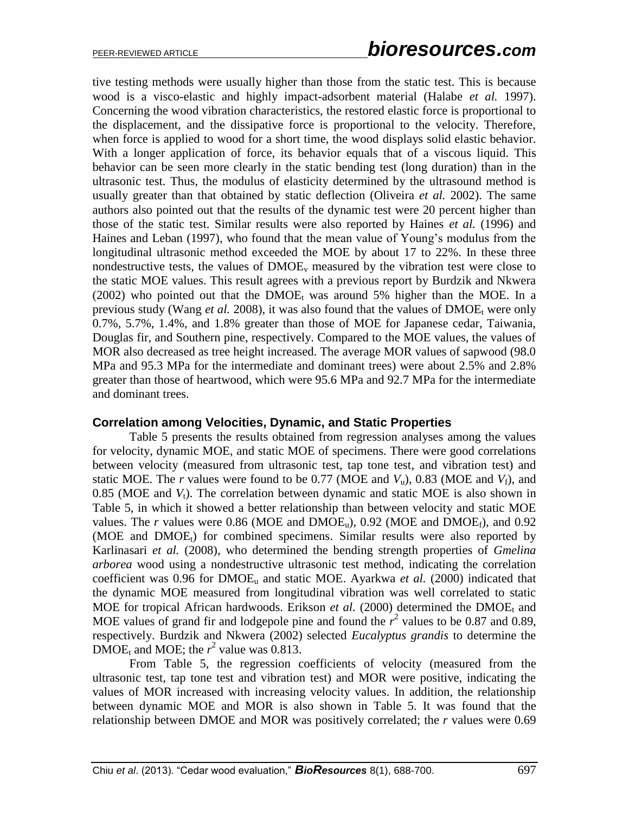tive testing methods were usually higher than those from the static test. This is because wood is a visco-elastic and highly impact-adsorbent material (Halabe *et al.* 1997). Concerning the wood vibration characteristics, the restored elastic force is proportional to the displacement, and the dissipative force is proportional to the velocity. Therefore, when force is applied to wood for a short time, the wood displays solid elastic behavior. With a longer application of force, its behavior equals that of a viscous liquid. This behavior can be seen more clearly in the static bending test (long duration) than in the ultrasonic test. Thus, the modulus of elasticity determined by the ultrasound method is usually greater than that obtained by static deflection (Oliveira *et al.* 2002). The same authors also pointed out that the results of the dynamic test were 20 percent higher than those of the static test. Similar results were also reported by Haines *et al.* (1996) and Haines and Leban (1997), who found that the mean value of Young's modulus from the longitudinal ultrasonic method exceeded the MOE by about 17 to 22%. In these three nondestructive tests, the values of  $\text{DMOE}_v$  measured by the vibration test were close to the static MOE values. This result agrees with a previous report by Burdzik and Nkwera (2002) who pointed out that the DMOE<sub>t</sub> was around 5% higher than the MOE. In a previous study (Wang *et al.* 2008), it was also found that the values of  $\text{DMOE}_{t}$  were only 0.7%, 5.7%, 1.4%, and 1.8% greater than those of MOE for Japanese cedar, Taiwania, Douglas fir, and Southern pine, respectively. Compared to the MOE values, the values of MOR also decreased as tree height increased. The average MOR values of sapwood (98.0 MPa and 95.3 MPa for the intermediate and dominant trees) were about 2.5% and 2.8% greater than those of heartwood, which were 95.6 MPa and 92.7 MPa for the intermediate and dominant trees.

### **Correlation among Velocities, Dynamic, and Static Properties**

Table 5 presents the results obtained from regression analyses among the values for velocity, dynamic MOE, and static MOE of specimens. There were good correlations between velocity (measured from ultrasonic test, tap tone test, and vibration test) and static MOE. The *r* values were found to be 0.77 (MOE and  $V_u$ ), 0.83 (MOE and  $V_f$ ), and  $0.85$  (MOE and  $V_t$ ). The correlation between dynamic and static MOE is also shown in Table 5, in which it showed a better relationship than between velocity and static MOE values. The *r* values were 0.86 (MOE and  $DMOE<sub>u</sub>$ ), 0.92 (MOE and  $DMOE<sub>f</sub>$ ), and 0.92 (MOE and  $DMOE<sub>t</sub>$ ) for combined specimens. Similar results were also reported by Karlinasari *et al.* (2008), who determined the bending strength properties of *Gmelina arborea* wood using a nondestructive ultrasonic test method, indicating the correlation coefficient was  $0.96$  for  $DMOE<sub>u</sub>$  and static MOE. Ayarkwa *et al.* (2000) indicated that the dynamic MOE measured from longitudinal vibration was well correlated to static MOE for tropical African hardwoods. Erikson *et al.* (2000) determined the  $DMOE<sub>t</sub>$  and MOE values of grand fir and lodgepole pine and found the  $r^2$  values to be 0.87 and 0.89, respectively. Burdzik and Nkwera (2002) selected *Eucalyptus grandis* to determine the  $\text{DMOE}_t$  and MOE; the  $r^2$  value was 0.813.

From Table 5, the regression coefficients of velocity (measured from the ultrasonic test, tap tone test and vibration test) and MOR were positive, indicating the values of MOR increased with increasing velocity values. In addition, the relationship between dynamic MOE and MOR is also shown in Table 5. It was found that the relationship between DMOE and MOR was positively correlated; the *r* values were 0.69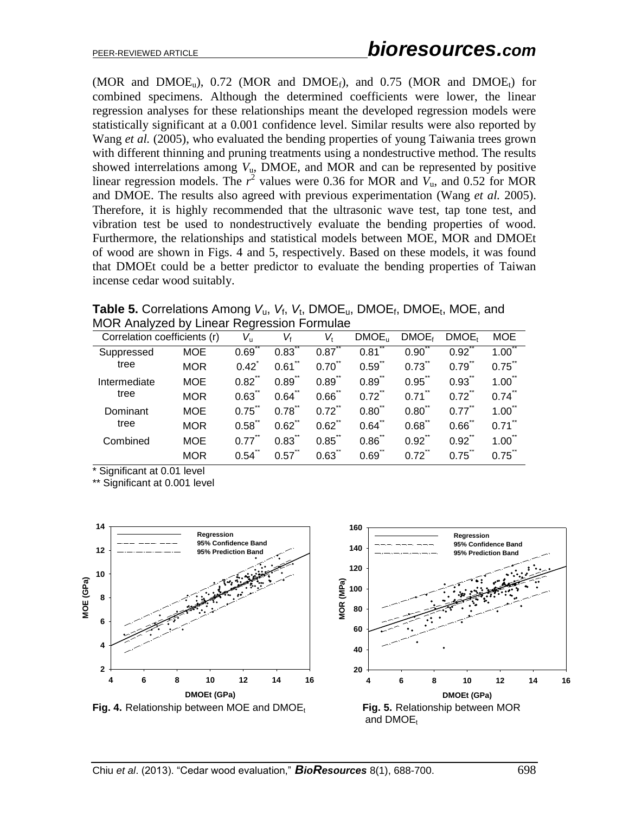(MOR and  $DMOE<sub>u</sub>$ ), 0.72 (MOR and  $DMOE<sub>f</sub>$ ), and 0.75 (MOR and  $DMOE<sub>t</sub>$ ) for combined specimens. Although the determined coefficients were lower, the linear regression analyses for these relationships meant the developed regression models were statistically significant at a 0.001 confidence level. Similar results were also reported by Wang *et al.* (2005), who evaluated the bending properties of young Taiwania trees grown with different thinning and pruning treatments using a nondestructive method. The results showed interrelations among  $V<sub>u</sub>$ , DMOE, and MOR and can be represented by positive linear regression models. The  $r^2$  values were 0.36 for MOR and  $V_u$ , and 0.52 for MOR and DMOE. The results also agreed with previous experimentation (Wang *et al.* 2005). Therefore, it is highly recommended that the ultrasonic wave test, tap tone test, and vibration test be used to nondestructively evaluate the bending properties of wood. Furthermore, the relationships and statistical models between MOE, MOR and DMOEt of wood are shown in Figs. 4 and 5, respectively. Based on these models, it was found that DMOEt could be a better predictor to evaluate the bending properties of Taiwan incense cedar wood suitably.

**Table 5.** Correlations Among  $V_u$ ,  $V_t$ ,  $V_t$ , DMOE<sub>u</sub>, DMOE<sub>t</sub>, DMOE<sub>t</sub>, MOE, and MOR Analyzed by Linear Regression Formulae

|                              |            | - - -         |            |                  |                    |                   |                   |                  |
|------------------------------|------------|---------------|------------|------------------|--------------------|-------------------|-------------------|------------------|
| Correlation coefficients (r) |            | $V_{\rm u}$   | Vł         | v.               | DMOE <sub>II</sub> | DMOE <sub>f</sub> | DMOE <sub>t</sub> | <b>MOE</b>       |
| Suppressed                   | <b>MOE</b> | 0.69          | 0.83       | 0.87             | 0.81               | 0.90              | $0.92^{7}$        | 1.00             |
| tree                         | <b>MOR</b> | $0.42^{^{-}}$ | 0.61       | $0.70^{1}$       | 0.59               | 0.73              | 0.79              | $0.75^{\degree}$ |
| Intermediate                 | <b>MOE</b> | 0.82          | 0.89       | 0.89             | 0.89               | 0.95              | 0.93              | 1.00             |
| tree                         | <b>MOR</b> | 0.63          | 0.64       | 0.66             | $0.72^{n}$         | 0.71              | $0.72^{\degree}$  | $0.74^{n}$       |
| Dominant                     | <b>MOE</b> | 0.75          | 0.78       | 0.72             | 0.80               | 0.80              | 0.77              | 1.00             |
| tree                         | <b>MOR</b> | 0.58          | $0.62^{0}$ | $0.62^{\degree}$ | 0.64               | 0.68              | 0.66              | 0.71             |
| Combined                     | <b>MOE</b> | 0.77          | 0.83       | 0.85             | 0.86               | $0.92^{1}$        | $0.92^{7}$        | 1.00             |
|                              | <b>MOR</b> | 0.54          | 0.57       | 0.63             | 0.69               | 0.72              | 0.75              | 0.75             |

\* Significant at 0.01 level

\*\* Significant at 0.001 level

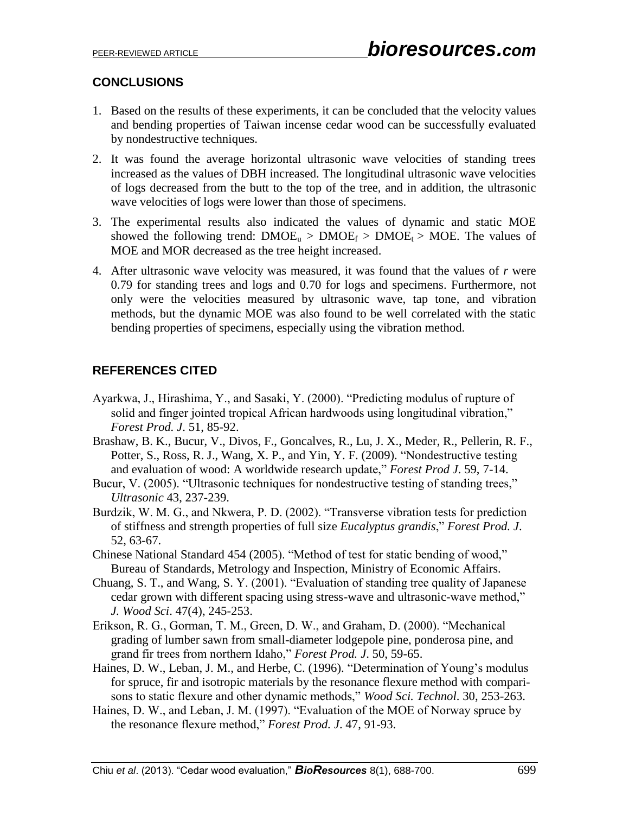# **CONCLUSIONS**

- 1. Based on the results of these experiments, it can be concluded that the velocity values and bending properties of Taiwan incense cedar wood can be successfully evaluated by nondestructive techniques.
- 2. It was found the average horizontal ultrasonic wave velocities of standing trees increased as the values of DBH increased. The longitudinal ultrasonic wave velocities of logs decreased from the butt to the top of the tree, and in addition, the ultrasonic wave velocities of logs were lower than those of specimens.
- 3. The experimental results also indicated the values of dynamic and static MOE showed the following trend:  $DMOE_u > DMOE_f > DMOE_t > MOE$ . The values of MOE and MOR decreased as the tree height increased.
- 4. After ultrasonic wave velocity was measured, it was found that the values of *r* were 0.79 for standing trees and logs and 0.70 for logs and specimens. Furthermore, not only were the velocities measured by ultrasonic wave, tap tone, and vibration methods, but the dynamic MOE was also found to be well correlated with the static bending properties of specimens, especially using the vibration method.

# **REFERENCES CITED**

- Ayarkwa, J., Hirashima, Y., and Sasaki, Y. (2000). "Predicting modulus of rupture of solid and finger jointed tropical African hardwoods using longitudinal vibration," *Forest Prod. J*. 51, 85-92.
- Brashaw, B. K., Bucur, V., Divos, F., Goncalves, R., Lu, J. X., Meder, R., Pellerin, R. F., Potter, S., Ross, R. J., Wang, X. P., and Yin, Y. F. (2009). "Nondestructive testing and evaluation of wood: A worldwide research update," *Forest Prod J*. 59, 7-14.
- Bucur, V. (2005). "Ultrasonic techniques for nondestructive testing of standing trees," *Ultrasonic* 43, 237-239.
- Burdzik, W. M. G., and Nkwera, P. D. (2002). "Transverse vibration tests for prediction of stiffness and strength properties of full size *Eucalyptus grandis*," *Forest Prod. J*. 52, 63-67.
- Chinese National Standard 454 (2005). "Method of test for static bending of wood," Bureau of Standards, Metrology and Inspection, Ministry of Economic Affairs.
- Chuang, S. T., and Wang, S. Y. (2001). "Evaluation of standing tree quality of Japanese cedar grown with different spacing using stress-wave and ultrasonic-wave method," *J. Wood Sci*. 47(4), 245-253.
- Erikson, R. G., Gorman, T. M., Green, D. W., and Graham, D. (2000). "Mechanical grading of lumber sawn from small-diameter lodgepole pine, ponderosa pine, and grand fir trees from northern Idaho," *Forest Prod. J*. 50, 59-65.
- Haines, D. W., Leban, J. M., and Herbe, C. (1996). "Determination of Young's modulus for spruce, fir and isotropic materials by the resonance flexure method with comparisons to static flexure and other dynamic methods," *Wood Sci. Technol*. 30, 253-263.
- Haines, D. W., and Leban, J. M. (1997). "Evaluation of the MOE of Norway spruce by the resonance flexure method," *Forest Prod. J*. 47, 91-93.